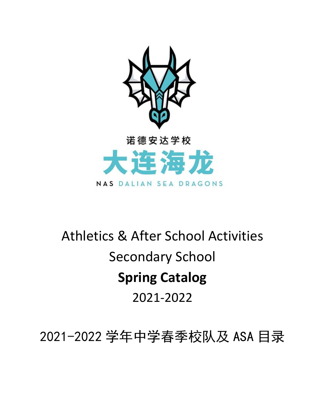

# Athletics & After School Activities Secondary School **Spring Catalog**  2021-2022

2021-2022 学年中学春季校队及 ASA 目录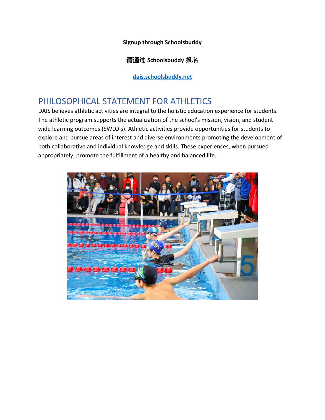**Signup through Schoolsbuddy**

**请通**过 **Schoolsbuddy** 报名

**[dais.schoolsbuddy.net](https://dais.schoolsbuddy.net/#!/)**

# PHILOSOPHICAL STATEMENT FOR ATHLETICS

DAIS believes athletic activities are integral to the holistic education experience for students. The athletic program supports the actualization of the school's mission, vision, and student wide learning outcomes (SWLO's). Athletic activities provide opportunities for students to explore and pursue areas of interest and diverse environments promoting the development of both collaborative and individual knowledge and skills. These experiences, when pursued appropriately, promote the fulfillment of a healthy and balanced life.

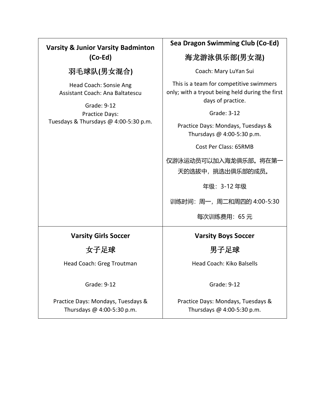#### **Varsity & Junior Varsity Badminton (Co-Ed)** 羽毛球队**(**男女混合**)** Head Coach: Sonsie Ang Assistant Coach: Ana Baltatescu Grade: 9-12 Practice Days: Tuesdays & Thursdays @ 4:00-5:30 p.m. **Sea Dragon Swimming Club (Co-Ed)** 海龙游泳俱乐部**(**男女混**)**  Coach: Mary LuYan Sui This is a team for competitive swimmers only; with a tryout being held during the first days of practice. Grade: 3-12 Practice Days: Mondays, Tuesdays & Thursdays @ 4:00-5:30 p.m. Cost Per Class: 65RMB 仅游泳运动员可以加入海龙俱乐部。将在第一 天的选拔中,挑选出俱乐部的成员。 年级:3-12 年级 训练时间:周一,周二和周四的 4:00-5:30 每次训练费用:65 元 **Varsity Girls Soccer** 女子足球 Head Coach: Greg Troutman Grade: 9-12 Practice Days: Mondays, Tuesdays & Thursdays @ 4:00-5:30 p.m. **Varsity Boys Soccer** 男子足球 Head Coach: Kiko Balsells Grade: 9-12 Practice Days: Mondays, Tuesdays & Thursdays @ 4:00-5:30 p.m.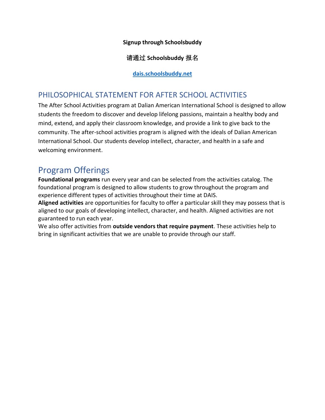#### **Signup through Schoolsbuddy**

#### 请通过 **Schoolsbuddy** 报名

#### **[dais.schoolsbuddy.net](https://dais.schoolsbuddy.net/#!/)**

#### PHILOSOPHICAL STATEMENT FOR AFTER SCHOOL ACTIVITIES

The After School Activities program at Dalian American International School is designed to allow students the freedom to discover and develop lifelong passions, maintain a healthy body and mind, extend, and apply their classroom knowledge, and provide a link to give back to the community. The after-school activities program is aligned with the ideals of Dalian American International School. Our students develop intellect, character, and health in a safe and welcoming environment.

## Program Offerings

**Foundational programs** run every year and can be selected from the activities catalog. The foundational program is designed to allow students to grow throughout the program and experience different types of activities throughout their time at DAIS.

**Aligned activities** are opportunities for faculty to offer a particular skill they may possess that is aligned to our goals of developing intellect, character, and health. Aligned activities are not guaranteed to run each year.

We also offer activities from **outside vendors that require payment**. These activities help to bring in significant activities that we are unable to provide through our staff.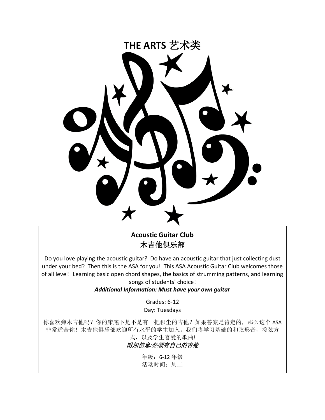

**Acoustic Guitar Club**  木吉他俱乐部

Do you love playing the acoustic guitar? Do have an acoustic guitar that just collecting dust under your bed? Then this is the ASA for you! This ASA Acoustic Guitar Club welcomes those of all level! Learning basic open chord shapes, the basics of strumming patterns, and learning songs of students' choice!

#### *Additional Information: Must have your own guitar*

Grades: 6-12 Day: Tuesdays

你喜欢弹木吉他吗?你的床底下是不是有一把积尘的吉他?如果答案是肯定的,那么这个 ASA 非常适合你!木吉他俱乐部欢迎所有水平的学生加入。我们将学习基础的和弦形音, 拨弦方 式,以及学生喜爱的歌曲!

#### 附加信息*:*必须有自己的吉他

年级:6-12 年级 活动时间:周二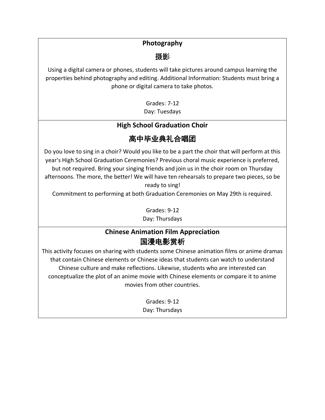#### **Photography**

摄影

Using a digital camera or phones, students will take pictures around campus learning the properties behind photography and editing. Additional Information: Students must bring a phone or digital camera to take photos.

> Grades: 7-12 Day: Tuesdays

#### **High School Graduation Choir**

# 高中毕业典礼合唱团

Do you love to sing in a choir? Would you like to be a part the choir that will perform at this year's High School Graduation Ceremonies? Previous choral music experience is preferred, but not required. Bring your singing friends and join us in the choir room on Thursday afternoons. The more, the better! We will have ten rehearsals to prepare two pieces, so be ready to sing!

Commitment to performing at both Graduation Ceremonies on May 29th is required.

Grades: 9-12 Day: Thursdays

#### **Chinese Animation Film Appreciation** 国漫电影赏析

This activity focuses on sharing with students some Chinese animation films or anime dramas that contain Chinese elements or Chinese ideas that students can watch to understand Chinese culture and make reflections. Likewise, students who are interested can conceptualize the plot of an anime movie with Chinese elements or compare it to anime movies from other countries.

> Grades: 9-12 Day: Thursdays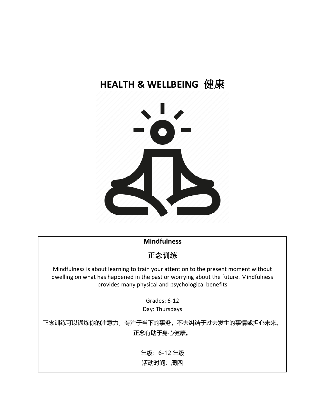# **HEALTH & WELLBEING** 健康



#### **Mindfulness**

正念训练

Mindfulness is about learning to train your attention to the present moment without dwelling on what has happened in the past or worrying about the future. Mindfulness provides many physical and psychological benefits

> Grades: 6-12 Day: Thursdays

正念训练可以锻炼你的注意力,专注于当下的事务,不去纠结于过去发生的事情或担心未来。 正念有助于身心健康。

> 年级:6-12 年级 活动时间:周四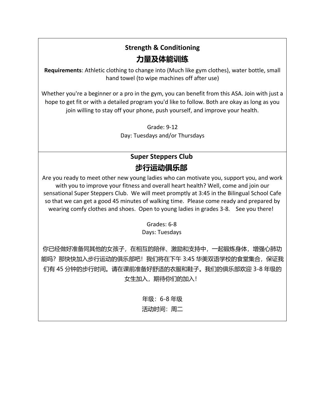# **Strength & Conditioning 力量及体能训练**

**Requirements**: Athletic clothing to change into (Much like gym clothes), water bottle, small hand towel (to wipe machines off after use)

Whether you're a beginner or a pro in the gym, you can benefit from this ASA. Join with just a hope to get fit or with a detailed program you'd like to follow. Both are okay as long as you join willing to stay off your phone, push yourself, and improve your health.

> Grade: 9-12 Day: Tuesdays and/or Thursdays

# **Super Steppers Club 步行运动俱乐部**

Are you ready to meet other new young ladies who can motivate you, support you, and work with you to improve your fitness and overall heart health? Well, come and join our sensational Super Steppers Club. We will meet promptly at 3:45 in the Bilingual School Cafe so that we can get a good 45 minutes of walking time. Please come ready and prepared by wearing comfy clothes and shoes. Open to young ladies in grades 3-8. See you there!

#### Grades: 6-8 Days: Tuesdays

你已经做好准备同其他的女孩子,在相互的陪伴、激励和支持中,一起锻炼身体,增强心肺功 能吗?那快快加入步行运动的俱乐部吧!我们将在下午 3:45 华美双语学校的食堂集合,保证我 们有 45 分钟的步行时间。请在课前准备好舒适的衣服和鞋子。我们的俱乐部欢迎 3-8 年级的 女生加入, 期待你们的加入!

年级:6-8 年级

#### 活动时间:周二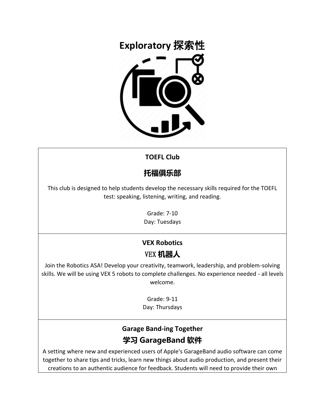

#### **TOEFL Club**

# **托福俱乐部**

This club is designed to help students develop the necessary skills required for the TOEFL test: speaking, listening, writing, and reading.

> Grade: 7-10 Day: Tuesdays

# **VEX Robotics**

## VEX **机器人**

Join the Robotics ASA! Develop your creativity, teamwork, leadership, and problem-solving skills. We will be using VEX 5 robots to complete challenges. No experience needed - all levels welcome.

> Grade: 9-11 Day: Thursdays

## **Garage Band-ing Together 学习 GarageBand 软件**

A setting where new and experienced users of Apple's GarageBand audio software can come together to share tips and tricks, learn new things about audio production, and present their creations to an authentic audience for feedback. Students will need to provide their own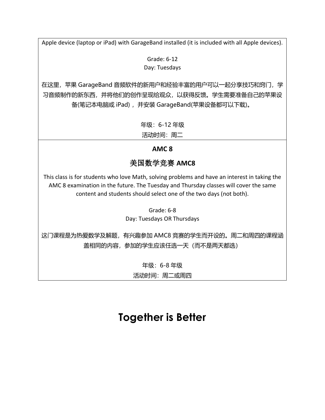Apple device (laptop or iPad) with GarageBand installed (it is included with all Apple devices).

Grade: 6-12 Day: Tuesdays

在这里,苹果 GarageBand 音频软件的新用户和经验丰富的用户可以一起分享技巧和窍门,学 习音频制作的新东西,并将他们的创作呈现给观众,以获得反馈。学生需要准备自己的苹果设 备(笔记本电脑或 iPad) ,并安装 GarageBand(苹果设备都可以下载)。

年级:6-12 年级

活动时间:周二

#### **AMC 8**

#### 美国数学竞赛 **AMC8**

This class is for students who love Math, solving problems and have an interest in taking the AMC 8 examination in the future. The Tuesday and Thursday classes will cover the same content and students should select one of the two days (not both).

> Grade: 6-8 Day: Tuesdays OR Thursdays

这门课程是为热爱数学及解题,有兴趣参加 AMC8 竞赛的学生而开设的。周二和周四的课程涵 盖相同的内容,参加的学生应该任选一天(而不是两天都选)

> 年级:6-8 年级 活动时间: 周二或周四

# **Together is Better**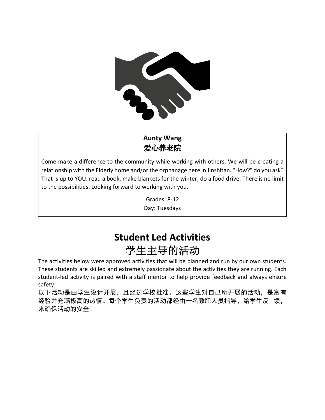

## **Aunty Wang** 爱心养老院

Come make a difference to the community while working with others. We will be creating a relationship with the Elderly home and/or the orphanage here in Jinshitan. "How?" do you ask? That is up to YOU. read a book, make blankets for the winter, do a food drive. There is no limit to the possibilities. Looking forward to working with you.

> Grades: 8-12 Day: Tuesdays

# **Student Led Activities** 学生主导的活动

The activities below were approved activities that will be planned and run by our own students. These students are skilled and extremely passionate about the activities they are running. Each student-led activity is paired with a staff mentor to help provide feedback and always ensure safety.

以下活动是由学生设计开展,且经过学校批准。这些学生对自己所开展的活动,是富有 经验并充满极高的热情。每个学生负责的活动都经由一名教职人员指导,给学生反 馈, 来确保活动的安全。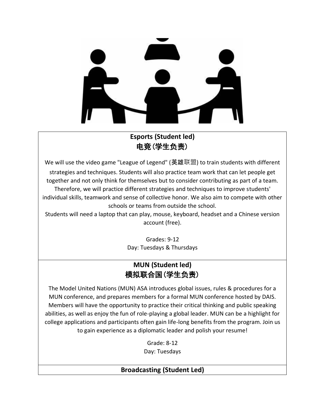#### **Esports (Student led)** 电竞(学生负责)

We will use the video game "League of Legend" (英雄联盟) to train students with different strategies and techniques. Students will also practice team work that can let people get together and not only think for themselves but to consider contributing as part of a team. Therefore, we will practice different strategies and techniques to improve students' individual skills, teamwork and sense of collective honor. We also aim to compete with other schools or teams from outside the school.

Students will need a laptop that can play, mouse, keyboard, headset and a Chinese version account (free).

> Grades: 9-12 Day: Tuesdays & Thursdays

#### **MUN (Student led)** 模拟联合国(学生负责)

The Model United Nations (MUN) ASA introduces global issues, rules & procedures for a MUN conference, and prepares members for a formal MUN conference hosted by DAIS. Members will have the opportunity to practice their critical thinking and public speaking abilities, as well as enjoy the fun of role-playing a global leader. MUN can be a highlight for college applications and participants often gain life-long benefits from the program. Join us to gain experience as a diplomatic leader and polish your resume!

> Grade: 8-12 Day: Tuesdays

#### **Broadcasting (Student Led)**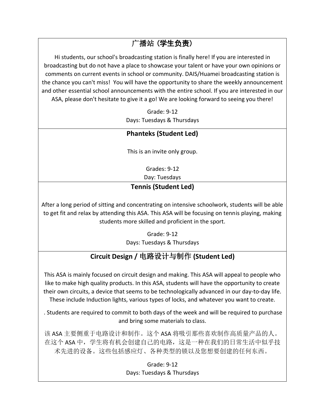# 广播站 (学生负责)

Hi students, our school's broadcasting station is finally here! If you are interested in broadcasting but do not have a place to showcase your talent or have your own opinions or comments on current events in school or community. DAIS/Huamei broadcasting station is the chance you can't miss! You will have the opportunity to share the weekly announcement and other essential school announcements with the entire school. If you are interested in our ASA, please don't hesitate to give it a go! We are looking forward to seeing you there!

> Grade: 9-12 Days: Tuesdays & Thursdays

#### **Phanteks (Student Led)**

This is an invite only group.

Grades: 9-12

Day: Tuesdays

#### **Tennis (Student Led)**

After a long period of sitting and concentrating on intensive schoolwork, students will be able to get fit and relax by attending this ASA. This ASA will be focusing on tennis playing, making students more skilled and proficient in the sport.

> Grade: 9-12 Days: Tuesdays & Thursdays

# **Circuit Design /** 电路设计与制作 **(Student Led)**

This ASA is mainly focused on circuit design and making. This ASA will appeal to people who like to make high quality products. In this ASA, students will have the opportunity to create their own circuits, a device that seems to be technologically advanced in our day-to-day life. These include Induction lights, various types of locks, and whatever you want to create.

. Students are required to commit to both days of the week and will be required to purchase and bring some materials to class.

该 ASA 主要侧重于电路设计和制作。这个 ASA 将吸引那些喜欢制作高质量产品的人。 在这个 ASA 中,学生将有机会创建自己的电路,这是一种在我们的日常生活中似乎技 术先进的设备。这些包括感应灯、各种类型的锁以及您想要创建的任何东西。

> Grade: 9-12 Days: Tuesdays & Thursdays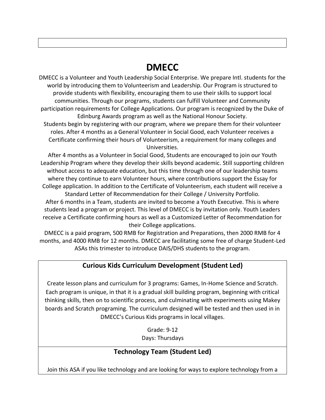# **DMECC**

DMECC is a Volunteer and Youth Leadership Social Enterprise. We prepare Intl. students for the world by introducing them to Volunteerism and Leadership. Our Program is structured to provide students with flexibility, encouraging them to use their skills to support local communities. Through our programs, students can fulfill Volunteer and Community participation requirements for College Applications. Our program is recognized by the Duke of Edinburg Awards program as well as the National Honour Society. Students begin by registering with our program, where we prepare them for their volunteer roles. After 4 months as a General Volunteer in Social Good, each Volunteer receives a Certificate confirming their hours of Volunteerism, a requirement for many colleges and

Universities.

After 4 months as a Volunteer in Social Good, Students are encouraged to join our Youth Leadership Program where they develop their skills beyond academic. Still supporting children without access to adequate education, but this time through one of our leadership teams where they continue to earn Volunteer hours, where contributions support the Essay for College application. In addition to the Certificate of Volunteerism, each student will receive a Standard Letter of Recommendation for their College / University Portfolio. After 6 months in a Team, students are invited to become a Youth Executive. This is where students lead a program or project. This level of DMECC is by invitation only. Youth Leaders receive a Certificate confirming hours as well as a Customized Letter of Recommendation for their College applications.

DMECC is a paid program, 500 RMB for Registration and Preparations, then 2000 RMB for 4 months, and 4000 RMB for 12 months. DMECC are facilitating some free of charge Student-Led ASAs this trimester to introduce DAIS/DHS students to the program.

#### **Curious Kids Curriculum Development (Student Led)**

Create lesson plans and curriculum for 3 programs: Games, In-Home Science and Scratch. Each program is unique, in that it is a gradual skill building program, beginning with critical thinking skills, then on to scientific process, and culminating with experiments using Makey boards and Scratch programing. The curriculum designed will be tested and then used in in DMECC's Curious Kids programs in local villages.

> Grade: 9-12 Days: Thursdays

#### **Technology Team (Student Led)**

Join this ASA if you like technology and are looking for ways to explore technology from a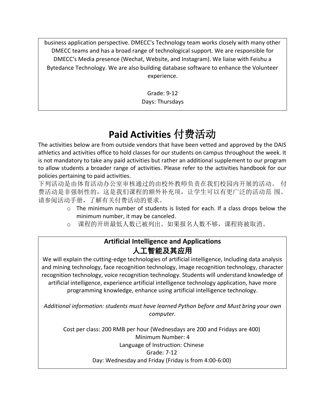business application perspective. DMECC's Technology team works closely with many other DMECC teams and has a broad range of technological support. We are responsible for DMECC's Media presence (Wechat, Website, and Instagram). We liaise with Feishu a Bytedance Technology. We are also building database software to enhance the Volunteer experience.

> Grade: 9-12 Days: Thursdays

# **Paid Activities** 付费活动

The activities below are from outside vendors that have been vetted and approved by the DAIS athletics and activities office to hold classes for our students on campus throughout the week. It is not mandatory to take any paid activities but rather an additional supplement to our program to allow students a broader range of activities. Please refer to the activities handbook for our policies pertaining to paid activities.

下列活动是由体育活动办公室审核通过的由校外教师负责在我们校园内开展的活动。 付 费活动是非强制性的,这是我们课程的额外补充项,让学生可以有更广泛的活动范 围。 请参阅活动手册,了解有关付费活动的要求。

- $\circ$  The minimum number of students is listed for each. If a class drops below the minimum number, it may be canceled.
- o 课程的开班最低人数已被列出。如果报名人数不够,课程将被取消。

#### **Artificial Intelligence and Applications** 人工智能及其应用

We will explain the cutting-edge technologies of artificial intelligence, Including data analysis and mining technology, face recognition technology, image recognition technology, character recognition technology, voice recognition technology. Students will understand knowledge of artificial intelligence, experience artificial intelligence technology application, have more programming knowledge, enhance using artificial intelligence technology.

*Additional information: students must have learned Python before and Must bring your own computer.*

Cost per class: 200 RMB per hour (Wednesdays are 200 and Fridays are 400) Minimum Number: 4 Language of Instruction: Chinese Grade: 7-12 Day: Wednesday and Friday (Friday is from 4:00-6:00)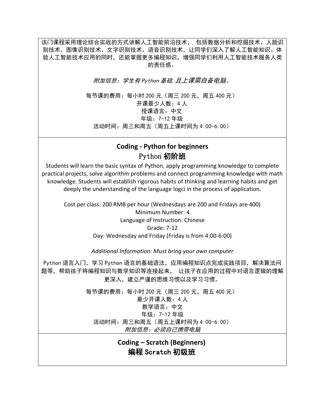该门课程采用理论结合实战的方式讲解人工智能前沿技术, 包括数据分析和挖掘技术、人脸识 别技术、图像识别技术、文字识别技术、语音识别技术,让同学们深入了解人工智能知识、体 验人工智能技术应用的同时,还能掌握更多编程知识,增强同学们利用人工智能技术服务人类 的责任感。

附加信息:学生有 Python 基础,且上课需自备电脑。

每节课的费用:每小时 200 元(周三 200 元,周五 400 元) 开课最少人数:4 人 授课语言:中文 年级:7-12 年级 活动时间:周三和周五(周五上课时间为 4:00-6:00)

#### **Coding - Python for beginners**  Python 初阶班

Students will learn the basic syntax of Python, apply programming knowledge to complete practical projects, solve algorithm problems and connect programming knowledge with math knowledge. Students will establish rigorous habits of thinking and learning habits and get deeply the understanding of the language logci in the process of application.

Cost per class: 200 RMB per hour (Wednesdays are 200 and Fridays are 400) Minimum Number: 4 Language of Instruction: Chinese Grade: 7-12 Day: Wednesday and Friday (Friday is from 4:00-6:00)

#### *Additional Information: Must bring your own computer*

Python 语言入门,学习 Python 语言的基础语法,应用编程知识点完成实践项目,解决算法问 题等,帮助孩子将编程知识与数学知识等连接起来, 让孩子在应用的过程中对语言逻辑的理解 更深入,建立严谨的思维习惯以及学习习惯。

> 每节课的费用:每小时 200 元(周三 200 元,周五 400 元) 最少开课人数:4 人 教学语言:中文 年级:7-12 年级 活动时间:周三和周五(周五上课时间为 4:00-6:00) 附加信息:必须自己携带电脑

> > **Coding – Scratch (Beginners)** 编程 Scratch 初级班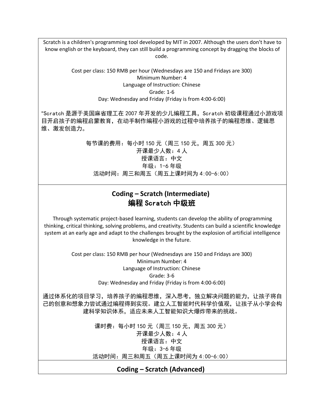Scratch is a children's programming tool developed by MIT in 2007. Although the users don't have to know english or the keyboard, they can still build a programming concept by dragging the blocks of code.

#### Cost per class: 150 RMB per hour (Wednesdays are 150 and Fridays are 300) Minimum Number: 4 Language of Instruction: Chinese Grade: 1-6 Day: Wednesday and Friday (Friday is from 4:00-6:00)

"Scratch 是源于美国麻省理工在 2007 年开发的少儿编程工具,Scratch 初级课程通过小游戏项 目开启孩子的编程启蒙教育,在动手制作编程小游戏的过程中培养孩子的编程思维、逻辑思 维、激发创造力。

> 每节课的费用:每小时 150 元(周三 150 元,周五 300 元) 开课最少人数:4 人 授课语言:中文 年级:1-6 年级 活动时间:周三和周五(周五上课时间为 4:00-6:00)

#### **Coding – Scratch (Intermediate)** 编程 Scratch 中级班

Through systematic project-based learning, students can develop the ability of programming thinking, critical thinking, solving problems, and creativity. Students can build a scientific knowledge system at an early age and adapt to the challenges brought by the explosion of artificial intelligence knowledge in the future.

> Cost per class: 150 RMB per hour (Wednesdays are 150 and Fridays are 300) Minimum Number: 4 Language of Instruction: Chinese Grade: 3-6 Day: Wednesday and Friday (Friday is from 4:00-6:00)

通过体系化的项目学习,培养孩子的编程思维,深入思考,独立解决问题的能力,让孩子将自 己的创意和想象力尝试通过编程得到实现。建立人工智能时代科学价值观,让孩子从小学会构 建科学知识体系,适应未来人工智能知识大爆炸带来的挑战。

> 课时费: 每小时 150 元 (周三 150 元, 周五 300 元) 开课最少人数:4 人 授课语言:中文 年级:3-6 年级 活动时间:周三和周五(周五上课时间为 4:00-6:00)

#### **Coding – Scratch (Advanced)**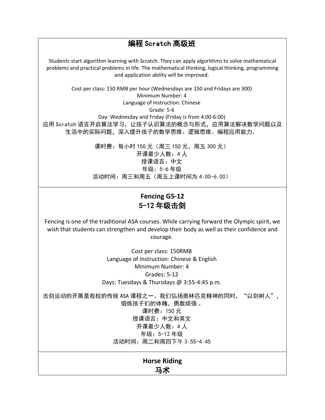#### 编程 Scratch 高级班 Students start algorithm learning with Scratch. They can apply algorithms to solve mathematical problems and practical problems in life. The mathematical thinking, logical thinking, programming and application ability will be improved. Cost per class: 150 RMB per hour (Wednesdays are 150 and Fridays are 300) Minimum Number: 4 Language of Instruction: Chinese Grade: 5-6 Day: Wednesday and Friday (Friday is from 4:00-6:00) 应用 Scratch 语言开启算法学习,让孩子认识算法的概念与形式,应用算法解决数学问题以及 生活中的实际问题,深入提升孩子的数学思维、逻辑思维、编程应用能力。

课时费:每小时 150 元(周三 150 元,周五 300 元) 开课最少人数:4 人 授课语言:中文 年级:5-6 年级 活动时间:周三和周五(周五上课时间为 4:00-6:00)

#### **Fencing G5-12** 5-12 年级击剑

Fencing is one of the traditional ASA courses. While carrying forward the Olympic spirit, we wish that students can strengthen and develop their body as well as their confidence and courage.

> Cost per class: 150RMB Language of Instruction: Chinese & English Minimum Number: 4 Grades: 5-12 Days: Tuesdays & Thursdays @ 3:55-4:45 p.m.

击剑运动的开展是我校的传统 ASA 课程之一。我们弘扬奥林匹克精神的同时, "以剑树人", 锻炼孩子们的体魄,勇敢顽强 。 课时费:150 元 授课语言:中文和英文 开课最少人数:4 人 年级:5-12 年级 活动时间:周二和周四下午 3:55-4:45

**Horse Riding** 马术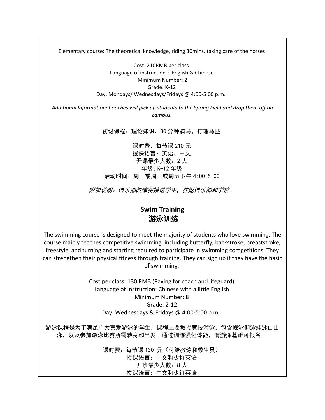Elementary course: The theoretical knowledge, riding 30mins, taking care of the horses

Cost: 210RMB per class Language of instruction: English & Chinese Minimum Number: 2 Grade: K-12 Day: Mondays/ Wednesdays/Fridays @ 4:00-5:00 p.m.

*Additional Information: Coaches will pick up students to the Spring Field and drop them off on campus.*

初级课程:理论知识,30 分钟骑马,打理马匹

课时费:每节课 210 元 授课语言:英语、中文 开课最少人数:2 人 年级: K-12 年级 活动时间:周一或周三或周五下午 4:00-5:00

附加说明:俱乐部教练将接送学生,往返俱乐部和学校。

#### **Swim Training** 游泳训练

The swimming course is designed to meet the majority of students who love swimming. The course mainly teaches competitive swimming, including butterfly, backstroke, breaststroke, freestyle, and turning and starting required to participate in swimming competitions. They can strengthen their physical fitness through training. They can sign up if they have the basic of swimming.

> Cost per class: 130 RMB (Paying for coach and lifeguard) Language of Instruction: Chinese with a little English Minimum Number: 8 Grade: 2-12 Day: Wednesdays & Fridays @ 4:00-5:00 p.m.

游泳课程是为了满足广大喜爱游泳的学生,课程主要教授竞技游泳,包含蝶泳仰泳蛙泳自由 泳,以及参加游泳比赛所需转身和出发,通过训练强化体能,有游泳基础可报名。

> 课时费:每节课 130 元(付给教练和救生员) 授课语言:中文和少许英语 开班最少人数:8 人 授课语言:中文和少许英语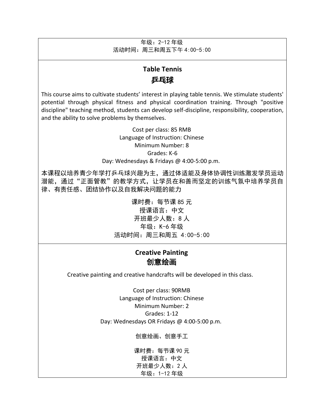年级:2-12 年级 活动时间:周三和周五下午 4:00-5:00

## **Table Tennis 乒乓球**

This course aims to cultivate students' interest in playing table tennis. We stimulate students' potential through physical fitness and physical coordination training. Through "positive discipline" teaching method, students can develop self-discipline, responsibility, cooperation, and the ability to solve problems by themselves.

> Cost per class: 85 RMB Language of Instruction: Chinese Minimum Number: 8 Grades: K-6 Day: Wednesdays & Fridays @ 4:00-5:00 p.m.

本课程以培养青少年学打乒乓球兴趣为主,通过体适能及身体协调性训练激发学员运动 潜能,通过"正面管教"的教学方式,让学员在和善而坚定的训练气氛中培养学员自 律、有责任感、团结协作以及自我解决问题的能力

> 课时费:每节课 85 元 授课语言:中文 开班最少人数:8 人 年级:K-6 年级 活动时间:周三和周五 4:00-5:00

#### **Creative Painting** 创意绘画

Creative painting and creative handcrafts will be developed in this class.

Cost per class: 90RMB Language of Instruction: Chinese Minimum Number: 2 Grades: 1-12 Day: Wednesdays OR Fridays @ 4:00-5:00 p.m.

创意绘画、创意手工

课时费:每节课 90 元 授课语言:中文 开班最少人数:2 人 年级:1-12 年级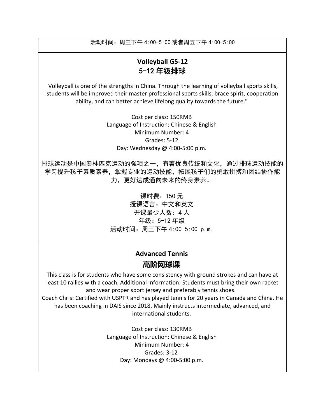活动时间:周三下午 4:00-5:00 或者周五下午 4:00-5:00

#### **Volleyball G5-12**  5-12 年级排球

Volleyball is one of the strengths in China. Through the learning of volleyball sports skills, students will be improved their master professional sports skills, brace spirit, cooperation ability, and can better achieve lifelong quality towards the future."

> Cost per class: 150RMB Language of Instruction: Chinese & English Minimum Number: 4 Grades: 5-12 Day: Wednesday @ 4:00-5:00 p.m.

排球运动是中国奥林匹克运动的强项之一,有着优良传统和文化,通过排球运动技能的 学习提升孩子素质素养,掌握专业的运动技能,拓展孩子们的勇敢拼搏和团结协作能 力,更好达成通向未来的终身素养。

> 课时费:150 元 授课语言:中文和英文 开课最少人数:4 人 年级:5-12 年级 活动时间:周三下午 4:00-5:00 p.m.

## **Advanced Tennis 高阶网球课**

This class is for students who have some consistency with ground strokes and can have at least 10 rallies with a coach. Additional Information: Students must bring their own racket and wear proper sport jersey and preferably tennis shoes.

Coach Chris: Certified with USPTR and has played tennis for 20 years in Canada and China. He has been coaching in DAIS since 2018. Mainly instructs intermediate, advanced, and international students.

> Cost per class: 130RMB Language of Instruction: Chinese & English Minimum Number: 4 Grades: 3-12 Day: Mondays @ 4:00-5:00 p.m.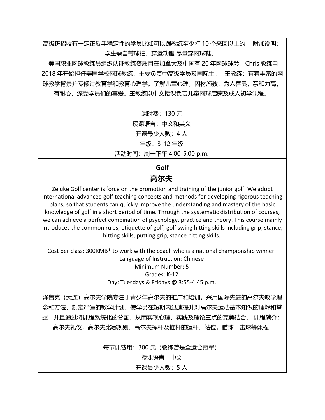高级班招收有一定正反手稳定性的学员比如可以跟教练至少打 10 个来回以上的。 附加说明: 学生需自带球拍,穿运动服,尽量穿网球鞋。

美国职业网球教练员组织认证教练资质且在加拿大及中国有 20 年网球球龄。Chris 教练自 2018 年开始担任美国学校网球教练,主要负责中高级学员及国际生。 -王教练:有着丰富的网 球教学背景并专修过教育学和教育心理学。了解儿童心理,因材施教,为人善良,亲和力高, 有耐心,深受学员们的喜爱。王教练以中文授课负责儿童网球启蒙及成人初学课程。

> 课时费:130 元 授课语言:中文和英文 开课最少人数:4 人 年级:3-12 年级 活动时间: 周一下午 4:00-5:00 p.m.

#### **Golf 高尔夫**

Zeluke Golf center is force on the promotion and training of the junior golf. We adopt international advanced golf teaching concepts and methods for developing rigorous teaching plans, so that students can quickly improve the understanding and mastery of the basic knowledge of golf in a short period of time. Through the systematic distribution of courses, we can achieve a perfect combination of psychology, practice and theory. This course mainly introduces the common rules, etiquette of golf, golf swing hitting skills including grip, stance, hitting skills, putting grip, stance hitting skills.

Cost per class: 300RMB\* to work with the coach who is a national championship winner Language of Instruction: Chinese Minimum Number: 5 Grades: K-12 Day: Tuesdays & Fridays @ 3:55-4:45 p.m.

泽鲁克(大连)高尔夫学院专注于青少年高尔夫的推广和培训,采用国际先进的高尔夫教学理 念和方法,制定严谨的教学计划,使学员在短期内迅速提升对高尔夫运动基本知识的理解和掌 握,并且通过将课程系统化的分配,从而实现心理、实践及理论三点的完美结合。 课程简介: 高尔夫礼仪,高尔夫比赛规则,高尔夫挥杆及推杆的握杆,站位,瞄球,击球等课程

每节课费用:300 元(教练曾是全运会冠军)

授课语言:中文

#### 开课最少人数:5 人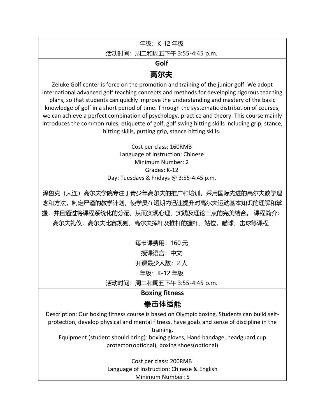年级:K-12 年级

活动时间: 周二和周五下午 3:55-4:45 p.m.

**Golf**

#### **高尔夫**

Zeluke Golf center is force on the promotion and training of the junior golf. We adopt international advanced golf teaching concepts and methods for developing rigorous teaching plans, so that students can quickly improve the understanding and mastery of the basic knowledge of golf in a short period of time. Through the systematic distribution of courses, we can achieve a perfect combination of psychology, practice and theory. This course mainly introduces the common rules, etiquette of golf, golf swing hitting skills including grip, stance, hitting skills, putting grip, stance hitting skills.

> Cost per class: 160RMB Language of Instruction: Chinese Minimum Number: 2 Grades: K-12 Day: Tuesdays & Fridays @ 3:55-4:45 p.m.

泽鲁克(大连)高尔夫学院专注于青少年高尔夫的推广和培训,采用国际先进的高尔夫教学理 念和方法,制定严谨的教学计划,使学员在短期内迅速提升对高尔夫运动基本知识的理解和掌 握,并且通过将课程系统化的分配,从而实现心理、实践及理论三点的完美结合。 课程简介: 高尔夫礼仪,高尔夫比赛规则,高尔夫挥杆及推杆的握杆,站位,瞄球,击球等课程

> 每节课费用:160 元 授课语言:中文 开课最少人数:2 人 年级:K-12 年级

活动时间: 周二和周五下午 3:55-4:45 p.m.

#### **Boxing fitness**

#### 拳**击体适**能

Description: Our boxing fitness course is based on Olympic boxing. Students can build selfprotection, develop physical and mental fitness, have goals and sense of discipline in the training.

Equipment (student should bring): boxing gloves, Hand bandage, headguard,cup protector(optional), boxing shoes(optional)

> Cost per class: 200RMB Language of Instruction: Chinese & English Minimum Number: 5